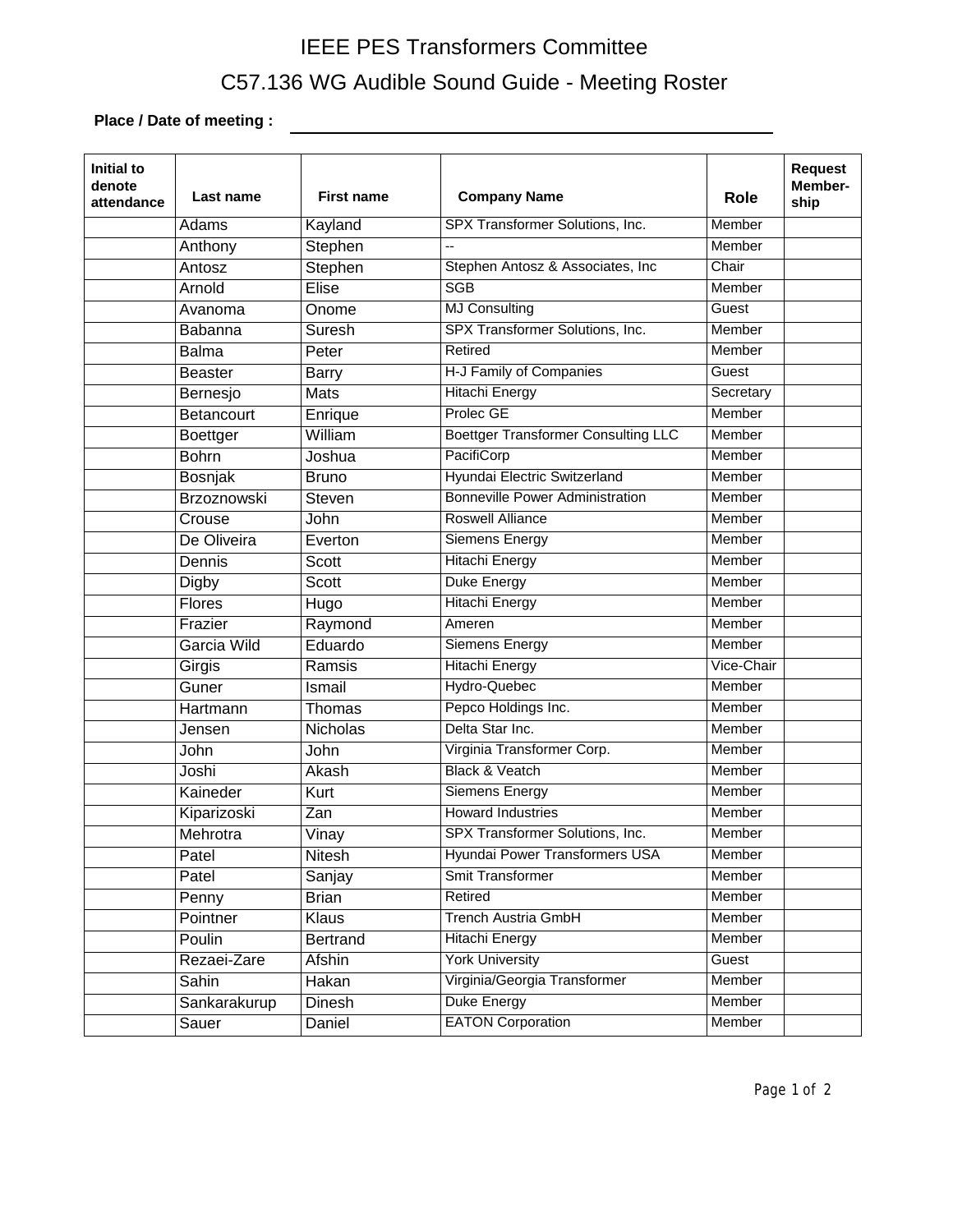## IEEE PES Transformers Committee C57.136 WG Audible Sound Guide - Meeting Roster

**Place / Date of meeting :**

| Initial to<br>denote<br>attendance | Last name       | <b>First name</b> | <b>Company Name</b>                        | Role          | <b>Request</b><br>Member-<br>ship |
|------------------------------------|-----------------|-------------------|--------------------------------------------|---------------|-----------------------------------|
|                                    | Adams           | Kayland           | SPX Transformer Solutions, Inc.            | Member        |                                   |
|                                    | Anthony         | Stephen           | 44                                         | Member        |                                   |
|                                    | Antosz          | Stephen           | Stephen Antosz & Associates, Inc.          | Chair         |                                   |
|                                    | Arnold          | <b>Elise</b>      | <b>SGB</b>                                 | Member        |                                   |
|                                    | Avanoma         | Onome             | <b>MJ Consulting</b>                       | Guest         |                                   |
|                                    | Babanna         | Suresh            | SPX Transformer Solutions, Inc.            | Member        |                                   |
|                                    | <b>Balma</b>    | Peter             | Retired                                    | Member        |                                   |
|                                    | <b>Beaster</b>  | <b>Barry</b>      | H-J Family of Companies                    | Guest         |                                   |
|                                    | Bernesjo        | Mats              | <b>Hitachi Energy</b>                      | Secretary     |                                   |
|                                    | Betancourt      | Enrique           | <b>Prolec GE</b>                           | Member        |                                   |
|                                    | <b>Boettger</b> | William           | <b>Boettger Transformer Consulting LLC</b> | Member        |                                   |
|                                    | <b>Bohrn</b>    | Joshua            | PacifiCorp                                 | Member        |                                   |
|                                    | Bosnjak         | <b>Bruno</b>      | Hyundai Electric Switzerland               | Member        |                                   |
|                                    | Brzoznowski     | Steven            | <b>Bonneville Power Administration</b>     | Member        |                                   |
|                                    | Crouse          | John              | <b>Roswell Alliance</b>                    | Member        |                                   |
|                                    | De Oliveira     | Everton           | <b>Siemens Energy</b>                      | Member        |                                   |
|                                    | Dennis          | <b>Scott</b>      | <b>Hitachi Energy</b>                      | Member        |                                   |
|                                    | Digby           | <b>Scott</b>      | Duke Energy                                | Member        |                                   |
|                                    | Flores          | Hugo              | <b>Hitachi Energy</b>                      | Member        |                                   |
|                                    | Frazier         | Raymond           | Ameren                                     | Member        |                                   |
|                                    | Garcia Wild     | Eduardo           | <b>Siemens Energy</b>                      | Member        |                                   |
|                                    | Girgis          | Ramsis            | <b>Hitachi Energy</b>                      | Vice-Chair    |                                   |
|                                    | Guner           | Ismail            | Hydro-Quebec                               | Member        |                                   |
|                                    | Hartmann        | Thomas            | Pepco Holdings Inc.                        | Member        |                                   |
|                                    | Jensen          | Nicholas          | Delta Star Inc.                            | Member        |                                   |
|                                    | John            | John              | Virginia Transformer Corp.                 | Member        |                                   |
|                                    | Joshi           | Akash             | <b>Black &amp; Veatch</b>                  | Member        |                                   |
|                                    | Kaineder        | Kurt              | <b>Siemens Energy</b>                      | Member        |                                   |
|                                    | Kiparizoski     | Zan               | <b>Howard Industries</b>                   | Member        |                                   |
|                                    | Mehrotra        | Vinay             | SPX Transformer Solutions, Inc.            | Member        |                                   |
|                                    | Patel           | Nitesh            | <b>Hyundai Power Transformers USA</b>      | Member        |                                   |
|                                    | Patel           | Sanjay            | <b>Smit Transformer</b>                    | <b>Member</b> |                                   |
|                                    | Penny           | <b>Brian</b>      | Retired                                    | Member        |                                   |
|                                    | Pointner        | Klaus             | <b>Trench Austria GmbH</b>                 | <b>Member</b> |                                   |
|                                    | Poulin          | <b>Bertrand</b>   | <b>Hitachi Energy</b>                      | <b>Member</b> |                                   |
|                                    | Rezaei-Zare     | Afshin            | <b>York University</b>                     | Guest         |                                   |
|                                    | Sahin           | Hakan             | Virginia/Georgia Transformer               | <b>Member</b> |                                   |
|                                    | Sankarakurup    | Dinesh            | Duke Energy                                | <b>Member</b> |                                   |
|                                    | Sauer           | Daniel            | <b>EATON Corporation</b>                   | Member        |                                   |